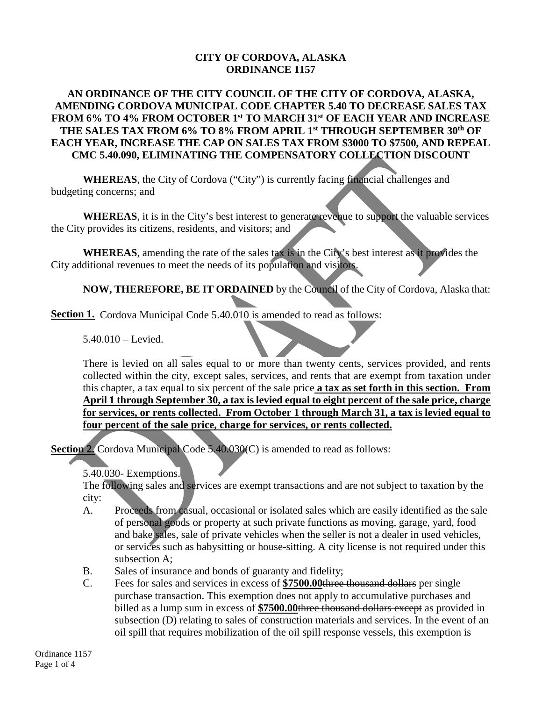## **CITY OF CORDOVA, ALASKA ORDINANCE 1157**

## **AN ORDINANCE OF THE CITY COUNCIL OF THE CITY OF CORDOVA, ALASKA, AMENDING CORDOVA MUNICIPAL CODE CHAPTER 5.40 TO DECREASE SALES TAX FROM 6% TO 4% FROM OCTOBER 1st TO MARCH 31st OF EACH YEAR AND INCREASE THE SALES TAX FROM 6% TO 8% FROM APRIL 1st THROUGH SEPTEMBER 30th OF EACH YEAR, INCREASE THE CAP ON SALES TAX FROM \$3000 TO \$7500, AND REPEAL CMC 5.40.090, ELIMINATING THE COMPENSATORY COLLECTION DISCOUNT**

**WHEREAS**, the City of Cordova ("City") is currently facing financial challenges and budgeting concerns; and

**WHEREAS**, it is in the City's best interest to generate revenue to support the valuable services the City provides its citizens, residents, and visitors; and

**WHEREAS**, amending the rate of the sales tax is in the City's best interest as it provides the City additional revenues to meet the needs of its population and visitors.

**NOW, THEREFORE, BE IT ORDAINED** by the Council of the City of Cordova, Alaska that:

**Section 1.** Cordova Municipal Code 5.40.010 is amended to read as follows:

5.40.010 – Levied.

There is levied on all sales equal to or more than twenty cents, services provided, and rents collected within the city, except sales, services, and rents that are exempt from taxation under this chapter, a tax equal to six percent of the sale price **a tax as set forth in this section. From April 1 through September 30, a tax is levied equal to eight percent of the sale price, charge for services, or rents collected. From October 1 through March 31, a tax is levied equal to four percent of the sale price, charge for services, or rents collected.**

**Section 2.** Cordova Municipal Code 5.40.030(C) is amended to read as follows:

5.40.030- Exemptions.

The following sales and services are exempt transactions and are not subject to taxation by the city:

- A. Proceeds from casual, occasional or isolated sales which are easily identified as the sale of personal goods or property at such private functions as moving, garage, yard, food and bake sales, sale of private vehicles when the seller is not a dealer in used vehicles, or services such as babysitting or house-sitting. A city license is not required under this subsection A;
- B. Sales of insurance and bonds of guaranty and fidelity;
- C. Fees for sales and services in excess of **\$7500.00**three thousand dollars per single purchase transaction. This exemption does not apply to accumulative purchases and billed as a lump sum in excess of **\$7500.00**three thousand dollars except as provided in subsection (D) relating to sales of construction materials and services. In the event of an oil spill that requires mobilization of the oil spill response vessels, this exemption is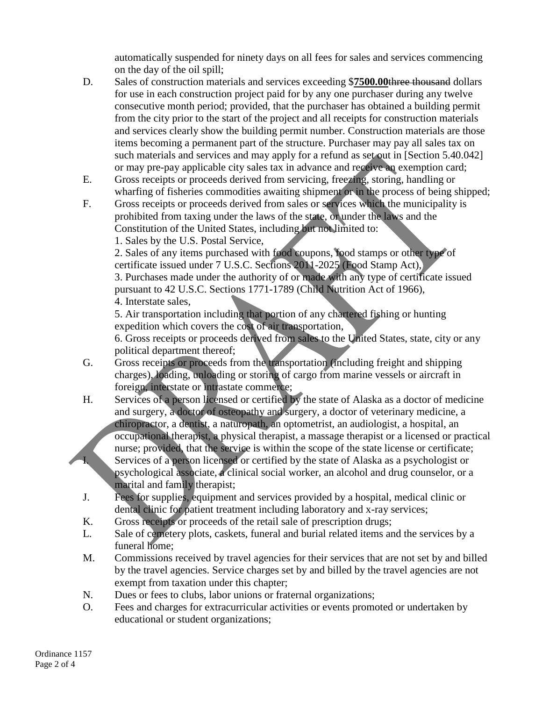automatically suspended for ninety days on all fees for sales and services commencing on the day of the oil spill;

- D. Sales of construction materials and services exceeding \$**7500.00**three thousand dollars for use in each construction project paid for by any one purchaser during any twelve consecutive month period; provided, that the purchaser has obtained a building permit from the city prior to the start of the project and all receipts for construction materials and services clearly show the building permit number. Construction materials are those items becoming a permanent part of the structure. Purchaser may pay all sales tax on such materials and services and may apply for a refund as set out in [Section 5.40.042] or may pre-pay applicable city sales tax in advance and receive an exemption card;
- E. Gross receipts or proceeds derived from servicing, freezing, storing, handling or wharfing of fisheries commodities awaiting shipment or in the process of being shipped;
- F. Gross receipts or proceeds derived from sales or services which the municipality is prohibited from taxing under the laws of the state, or under the laws and the Constitution of the United States, including but not limited to:
	- 1. Sales by the U.S. Postal Service,

2. Sales of any items purchased with food coupons, food stamps or other type of certificate issued under 7 U.S.C. Sections 2011-2025 (Food Stamp Act), 3. Purchases made under the authority of or made with any type of certificate issued pursuant to 42 U.S.C. Sections 1771-1789 (Child Nutrition Act of 1966), 4. Interstate sales,

5. Air transportation including that portion of any chartered fishing or hunting expedition which covers the cost of air transportation,

6. Gross receipts or proceeds derived from sales to the United States, state, city or any political department thereof;

- G. Gross receipts or proceeds from the transportation (including freight and shipping charges), loading, unloading or storing of cargo from marine vessels or aircraft in foreign, interstate or intrastate commerce;
- H. Services of a person licensed or certified by the state of Alaska as a doctor of medicine and surgery, a doctor of osteopathy and surgery, a doctor of veterinary medicine, a chiropractor, a dentist, a naturopath, an optometrist, an audiologist, a hospital, an occupational therapist, a physical therapist, a massage therapist or a licensed or practical nurse; provided, that the service is within the scope of the state license or certificate; I. Services of a person licensed or certified by the state of Alaska as a psychologist or psychological associate, a clinical social worker, an alcohol and drug counselor, or a marital and family therapist;
- J. Fees for supplies, equipment and services provided by a hospital, medical clinic or dental clinic for patient treatment including laboratory and x-ray services;
- K. Gross receipts or proceeds of the retail sale of prescription drugs;
- L. Sale of cemetery plots, caskets, funeral and burial related items and the services by a funeral home;
- M. Commissions received by travel agencies for their services that are not set by and billed by the travel agencies. Service charges set by and billed by the travel agencies are not exempt from taxation under this chapter;
- N. Dues or fees to clubs, labor unions or fraternal organizations;
- O. Fees and charges for extracurricular activities or events promoted or undertaken by educational or student organizations;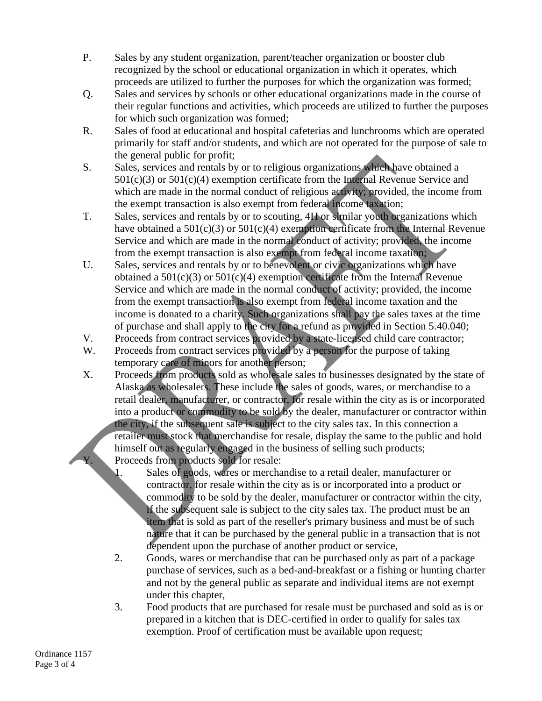- P. Sales by any student organization, parent/teacher organization or booster club recognized by the school or educational organization in which it operates, which proceeds are utilized to further the purposes for which the organization was formed;
- Q. Sales and services by schools or other educational organizations made in the course of their regular functions and activities, which proceeds are utilized to further the purposes for which such organization was formed;
- R. Sales of food at educational and hospital cafeterias and lunchrooms which are operated primarily for staff and/or students, and which are not operated for the purpose of sale to the general public for profit;
- S. Sales, services and rentals by or to religious organizations which have obtained a  $501(c)(3)$  or  $501(c)(4)$  exemption certificate from the Internal Revenue Service and which are made in the normal conduct of religious activity; provided, the income from the exempt transaction is also exempt from federal income taxation;
- T. Sales, services and rentals by or to scouting, 4H or similar youth organizations which have obtained a  $501(c)(3)$  or  $501(c)(4)$  exemption certificate from the Internal Revenue Service and which are made in the normal conduct of activity; provided, the income from the exempt transaction is also exempt from federal income taxation;
- U. Sales, services and rentals by or to benevolent or civic organizations which have obtained a  $501(c)(3)$  or  $501(c)(4)$  exemption certificate from the Internal Revenue Service and which are made in the normal conduct of activity; provided, the income from the exempt transaction is also exempt from federal income taxation and the income is donated to a charity. Such organizations shall pay the sales taxes at the time of purchase and shall apply to the city for a refund as provided in Section 5.40.040;
- V. Proceeds from contract services provided by a state-licensed child care contractor;
- W. Proceeds from contract services provided by a person for the purpose of taking temporary care of minors for another person;
- X. Proceeds from products sold as wholesale sales to businesses designated by the state of Alaska as wholesalers. These include the sales of goods, wares, or merchandise to a retail dealer, manufacturer, or contractor, for resale within the city as is or incorporated into a product or commodity to be sold by the dealer, manufacturer or contractor within the city, if the subsequent sale is subject to the city sales tax. In this connection a retailer must stock that merchandise for resale, display the same to the public and hold himself out as regularly engaged in the business of selling such products; Proceeds from products sold for resale:
	- 1. Sales of goods, wares or merchandise to a retail dealer, manufacturer or contractor, for resale within the city as is or incorporated into a product or commodity to be sold by the dealer, manufacturer or contractor within the city, if the subsequent sale is subject to the city sales tax. The product must be an item that is sold as part of the reseller's primary business and must be of such nature that it can be purchased by the general public in a transaction that is not dependent upon the purchase of another product or service,
	- 2. Goods, wares or merchandise that can be purchased only as part of a package purchase of services, such as a bed-and-breakfast or a fishing or hunting charter and not by the general public as separate and individual items are not exempt under this chapter,
	- 3. Food products that are purchased for resale must be purchased and sold as is or prepared in a kitchen that is DEC-certified in order to qualify for sales tax exemption. Proof of certification must be available upon request;